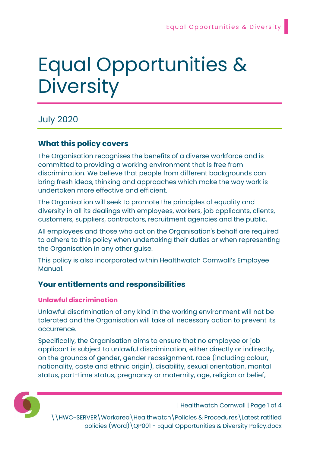# Equal Opportunities & **Diversity**

## July 2020

## What this policy covers

The Organisation recognises the benefits of a diverse workforce and is committed to providing a working environment that is free from discrimination. We believe that people from different backgrounds can bring fresh ideas, thinking and approaches which make the way work is undertaken more effective and efficient.

The Organisation will seek to promote the principles of equality and diversity in all its dealings with employees, workers, job applicants, clients, customers, suppliers, contractors, recruitment agencies and the public.

All employees and those who act on the Organisation's behalf are required to adhere to this policy when undertaking their duties or when representing the Organisation in any other guise.

This policy is also incorporated within Healthwatch Cornwall's Employee Manual.

## Your entitlements and responsibilities

#### Unlawful discrimination

Unlawful discrimination of any kind in the working environment will not be tolerated and the Organisation will take all necessary action to prevent its occurrence.

Specifically, the Organisation aims to ensure that no employee or job applicant is subject to unlawful discrimination, either directly or indirectly, on the grounds of gender, gender reassignment, race (including colour, nationality, caste and ethnic origin), disability, sexual orientation, marital status, part-time status, pregnancy or maternity, age, religion or belief,



| Healthwatch Cornwall | Page 1 of 4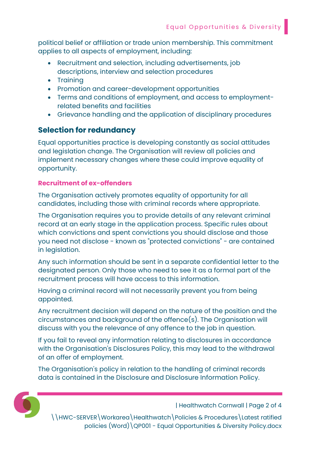political belief or affiliation or trade union membership. This commitment applies to all aspects of employment, including:

- Recruitment and selection, including advertisements, job descriptions, interview and selection procedures
- Training
- Promotion and career-development opportunities
- Terms and conditions of employment, and access to employmentrelated benefits and facilities
- Grievance handling and the application of disciplinary procedures

### Selection for redundancy

Equal opportunities practice is developing constantly as social attitudes and legislation change. The Organisation will review all policies and implement necessary changes where these could improve equality of opportunity.

#### Recruitment of ex-offenders

The Organisation actively promotes equality of opportunity for all candidates, including those with criminal records where appropriate.

The Organisation requires you to provide details of any relevant criminal record at an early stage in the application process. Specific rules about which convictions and spent convictions you should disclose and those you need not disclose - known as "protected convictions" - are contained in legislation.

Any such information should be sent in a separate confidential letter to the designated person. Only those who need to see it as a formal part of the recruitment process will have access to this information.

Having a criminal record will not necessarily prevent you from being appointed.

Any recruitment decision will depend on the nature of the position and the circumstances and background of the offence(s). The Organisation will discuss with you the relevance of any offence to the job in question.

If you fail to reveal any information relating to disclosures in accordance with the Organisation's Disclosures Policy, this may lead to the withdrawal of an offer of employment.

The Organisation's policy in relation to the handling of criminal records data is contained in the Disclosure and Disclosure Information Policy.



| Healthwatch Cornwall | Page 2 of 4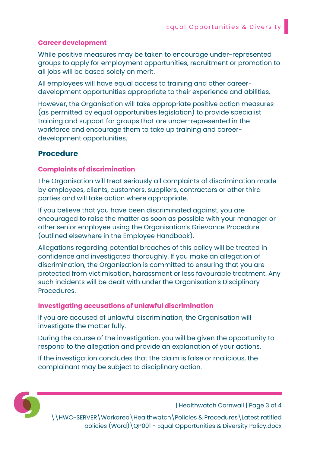#### Career development

While positive measures may be taken to encourage under-represented groups to apply for employment opportunities, recruitment or promotion to all jobs will be based solely on merit.

All employees will have equal access to training and other careerdevelopment opportunities appropriate to their experience and abilities.

However, the Organisation will take appropriate positive action measures (as permitted by equal opportunities legislation) to provide specialist training and support for groups that are under-represented in the workforce and encourage them to take up training and careerdevelopment opportunities.

#### Procedure

#### Complaints of discrimination

The Organisation will treat seriously all complaints of discrimination made by employees, clients, customers, suppliers, contractors or other third parties and will take action where appropriate.

If you believe that you have been discriminated against, you are encouraged to raise the matter as soon as possible with your manager or other senior employee using the Organisation's Grievance Procedure (outlined elsewhere in the Employee Handbook).

Allegations regarding potential breaches of this policy will be treated in confidence and investigated thoroughly. If you make an allegation of discrimination, the Organisation is committed to ensuring that you are protected from victimisation, harassment or less favourable treatment. Any such incidents will be dealt with under the Organisation's Disciplinary Procedures.

#### Investigating accusations of unlawful discrimination

If you are accused of unlawful discrimination, the Organisation will investigate the matter fully.

During the course of the investigation, you will be given the opportunity to respond to the allegation and provide an explanation of your actions.

If the investigation concludes that the claim is false or malicious, the complainant may be subject to disciplinary action.



| Healthwatch Cornwall | Page 3 of 4